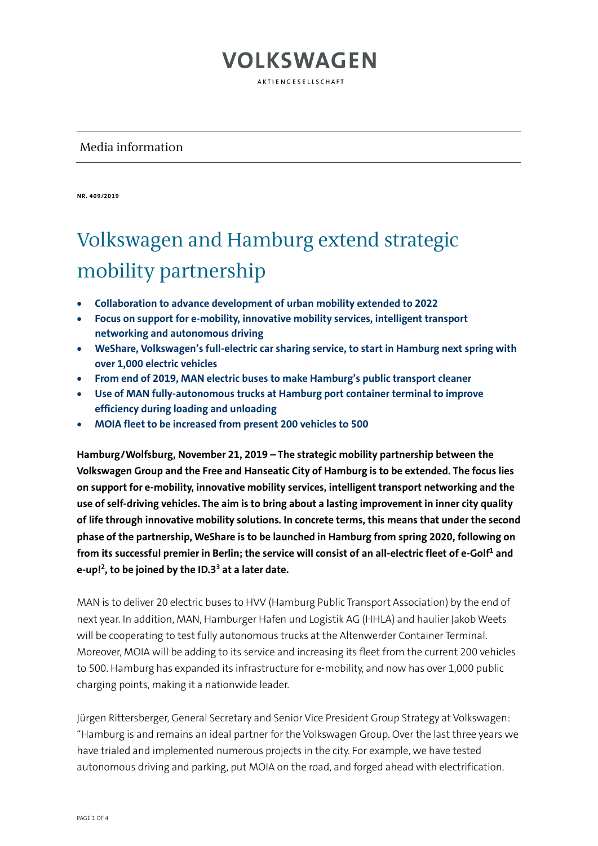AKTIENGESELLSCHAFT

#### Media information

**NR. 409/2019** 

# Volkswagen and Hamburg extend strategic mobility partnership

- **Collaboration to advance development of urban mobility extended to 2022**
- **Focus on support for e-mobility, innovative mobility services, intelligent transport networking and autonomous driving**
- **WeShare, Volkswagen's full-electric car sharing service, to start in Hamburg next spring with over 1,000 electric vehicles**
- **From end of 2019, MAN electric buses to make Hamburg's public transport cleaner**
- **Use of MAN fully-autonomous trucks at Hamburg port container terminal to improve efficiency during loading and unloading**
- **MOIA fleet to be increased from present 200 vehicles to 500**

**Hamburg/Wolfsburg, November 21, 2019 – The strategic mobility partnership between the Volkswagen Group and the Free and Hanseatic City of Hamburg is to be extended. The focus lies on support for e-mobility, innovative mobility services, intelligent transport networking and the use of self-driving vehicles. The aim is to bring about a lasting improvement in inner city quality of life through innovative mobility solutions. In concrete terms, this means that under the second phase of the partnership, WeShare is to be launched in Hamburg from spring 2020, following on from its successful premier in Berlin; the service will consist of an all-electric fleet of e-Golf1 and e-up!2, to be joined by the ID.33 at a later date.**

MAN is to deliver 20 electric buses to HVV (Hamburg Public Transport Association) by the end of next year. In addition, MAN, Hamburger Hafen und Logistik AG (HHLA) and haulier Jakob Weets will be cooperating to test fully autonomous trucks at the Altenwerder Container Terminal. Moreover, MOIA will be adding to its service and increasing its fleet from the current 200 vehicles to 500. Hamburg has expanded its infrastructure for e-mobility, and now has over 1,000 public charging points, making it a nationwide leader.

Jürgen Rittersberger, General Secretary and Senior Vice President Group Strategy at Volkswagen: "Hamburg is and remains an ideal partner for the Volkswagen Group. Over the last three years we have trialed and implemented numerous projects in the city. For example, we have tested autonomous driving and parking, put MOIA on the road, and forged ahead with electrification.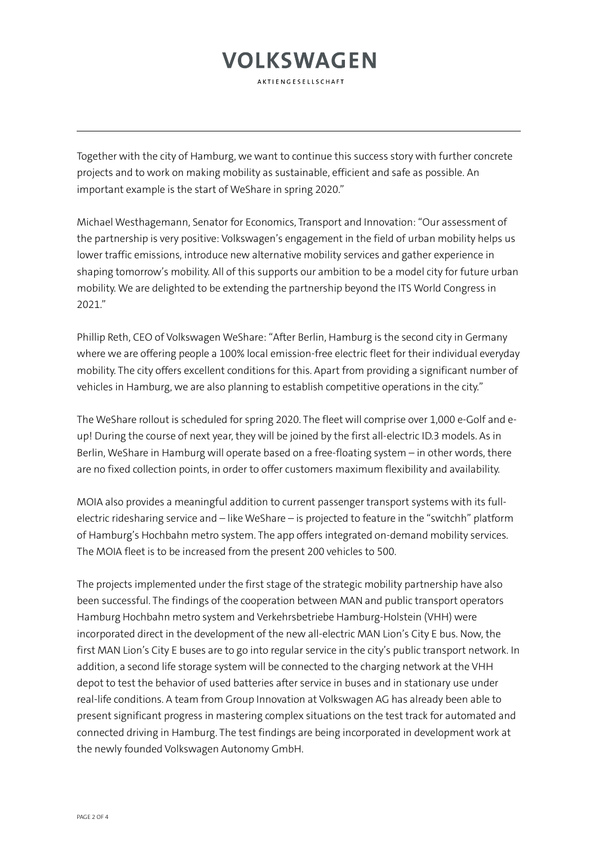**AKTIFNGFSFLISCHAFT** 

Together with the city of Hamburg, we want to continue this success story with further concrete projects and to work on making mobility as sustainable, efficient and safe as possible. An important example is the start of WeShare in spring 2020."

Michael Westhagemann, Senator for Economics, Transport and Innovation: "Our assessment of the partnership is very positive: Volkswagen's engagement in the field of urban mobility helps us lower traffic emissions, introduce new alternative mobility services and gather experience in shaping tomorrow's mobility. All of this supports our ambition to be a model city for future urban mobility. We are delighted to be extending the partnership beyond the ITS World Congress in 2021."

Phillip Reth, CEO of Volkswagen WeShare: "After Berlin, Hamburg is the second city in Germany where we are offering people a 100% local emission-free electric fleet for their individual everyday mobility. The city offers excellent conditions for this. Apart from providing a significant number of vehicles in Hamburg, we are also planning to establish competitive operations in the city."

The WeShare rollout is scheduled for spring 2020. The fleet will comprise over 1,000 e-Golf and eup! During the course of next year, they will be joined by the first all-electric ID.3 models. As in Berlin, WeShare in Hamburg will operate based on a free-floating system – in other words, there are no fixed collection points, in order to offer customers maximum flexibility and availability.

MOIA also provides a meaningful addition to current passenger transport systems with its fullelectric ridesharing service and – like WeShare – is projected to feature in the "switchh" platform of Hamburg's Hochbahn metro system. The app offers integrated on-demand mobility services. The MOIA fleet is to be increased from the present 200 vehicles to 500.

The projects implemented under the first stage of the strategic mobility partnership have also been successful. The findings of the cooperation between MAN and public transport operators Hamburg Hochbahn metro system and Verkehrsbetriebe Hamburg-Holstein (VHH) were incorporated direct in the development of the new all-electric MAN Lion's City E bus. Now, the first MAN Lion's City E buses are to go into regular service in the city's public transport network. In addition, a second life storage system will be connected to the charging network at the VHH depot to test the behavior of used batteries after service in buses and in stationary use under real-life conditions. A team from Group Innovation at Volkswagen AG has already been able to present significant progress in mastering complex situations on the test track for automated and connected driving in Hamburg. The test findings are being incorporated in development work at the newly founded Volkswagen Autonomy GmbH.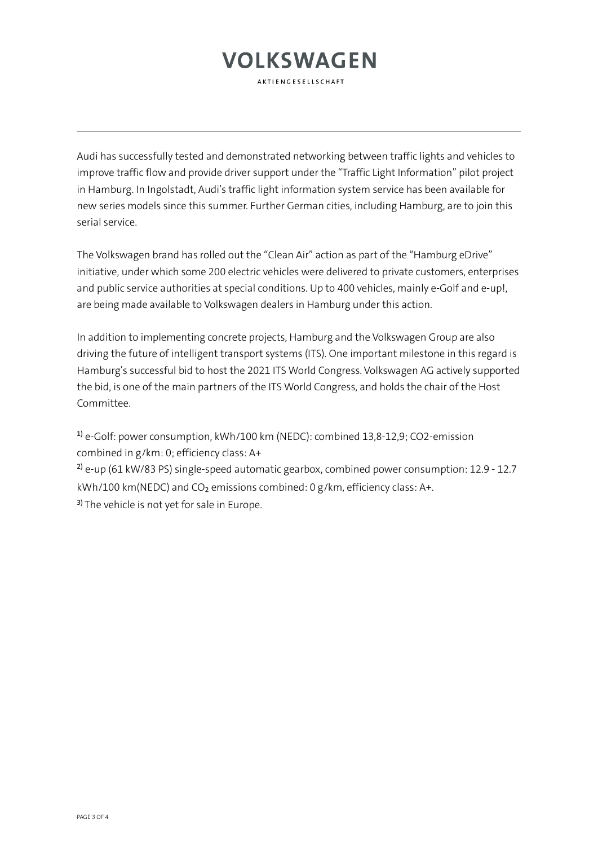AKTIFNGFSFLISCHAFT

Audi has successfully tested and demonstrated networking between traffic lights and vehicles to improve traffic flow and provide driver support under the "Traffic Light Information" pilot project in Hamburg. In Ingolstadt, Audi's traffic light information system service has been available for new series models since this summer. Further German cities, including Hamburg, are to join this serial service.

The Volkswagen brand has rolled out the "Clean Air" action as part of the "Hamburg eDrive" initiative, under which some 200 electric vehicles were delivered to private customers, enterprises and public service authorities at special conditions. Up to 400 vehicles, mainly e-Golf and e-up!, are being made available to Volkswagen dealers in Hamburg under this action.

In addition to implementing concrete projects, Hamburg and the Volkswagen Group are also driving the future of intelligent transport systems (ITS). One important milestone in this regard is Hamburg's successful bid to host the 2021 ITS World Congress. Volkswagen AG actively supported the bid, is one of the main partners of the ITS World Congress, and holds the chair of the Host Committee.

1) e-Golf: power consumption, kWh/100 km (NEDC): combined 13,8-12,9; CO2-emission combined in g/km: 0; efficiency class: A+

<sup>2)</sup> e-up (61 kW/83 PS) single-speed automatic gearbox, combined power consumption: 12.9 - 12.7 kWh/100 km(NEDC) and CO<sub>2</sub> emissions combined: 0 g/km, efficiency class: A+.

<sup>3)</sup> The vehicle is not yet for sale in Europe.